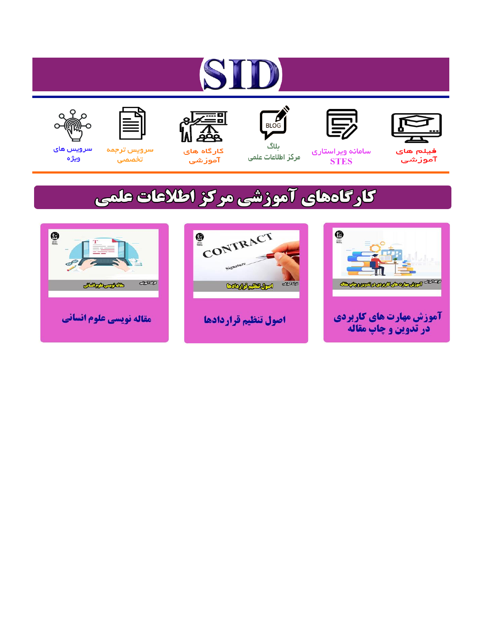# ST











مرکز اطلاعات علمی

 $\frac{1}{\sqrt{\frac{1}{100}}}$ ىلاگ



آموزشي

空

سرويس ترجمه تخصصى



سرویس های ويژه

## كارگاههای آموزشی مركز اطلاعات علمی





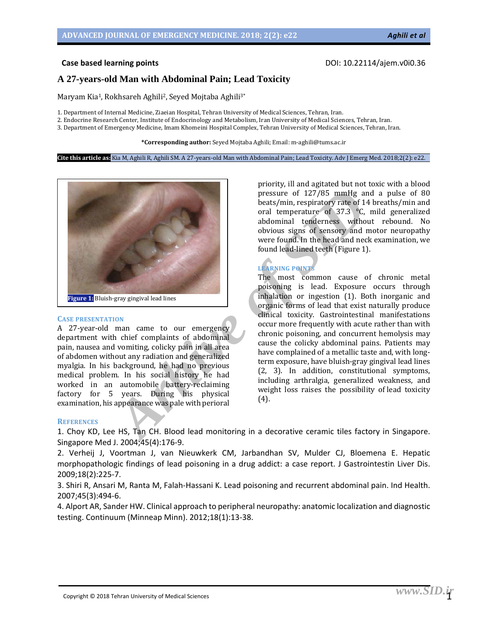### **A 27-years-old Man with Abdominal Pain; Lead Toxicity**

Maryam Kia<sup>1</sup>, Rokhsareh Aghili<sup>2</sup>, Seyed Mojtaba Aghili<sup>3\*</sup>

1. Department of Internal Medicine, Ziaeian Hospital, Tehran University of Medical Sciences, Tehran, Iran.

2. Endocrine Research Center, Institute of Endocrinology and Metabolism, Iran University of Medical Sciences, Tehran, Iran.

3. Department of Emergency Medicine, Imam Khomeini Hospital Complex, Tehran University of Medical Sciences, Tehran, Iran.

**\*Corresponding author:** Seyed Mojtaba Aghili; Email: m-aghili@tums.ac.ir

**Cite this article as:** Kia M, Aghili R, Aghili SM. A 27-years-old Man with Abdominal Pain; Lead Toxicity. Adv J Emerg Med. 2018;2(2): e22.



#### **CASE PRESENTATION**

A 27-year-old man came to our emergency department with chief complaints of abdominal pain, nausea and vomiting, colicky pain in all area of abdomen without any radiation and generalized myalgia. In his background, he had no previous medical problem. In his social history he had worked in an automobile battery-reclaiming factory for 5 years. During his physical examination, his appearance was pale with perioral

obvious signs of sensory and motor neuropathy were found. In the head and neck examination, we found lead-lined teeth (Figure 1). **LEARNING POINT**s The most common cause of chronic metal

priority, ill and agitated but not toxic with a blood pressure of 127/85 mmHg and a pulse of 80 beats/min, respiratory rate of 14 breaths/min and oral temperature of 37.3 °C, mild generalized abdominal tenderness without rebound. No

poisoning is lead. Exposure occurs through inhalation or ingestion (1). Both inorganic and organic forms of lead that exist naturally produce clinical toxicity. Gastrointestinal manifestations occur more frequently with acute rather than with chronic poisoning, and concurrent hemolysis may cause the colicky abdominal pains. Patients may have complained of a metallic taste and, with longterm exposure, have bluish-gray gingival lead lines (2, 3). In addition, constitutional symptoms, including arthralgia, generalized weakness, and weight loss raises the possibility of lead toxicity (4).

#### **REFERENCES**

1. Choy KD, Lee HS, Tan CH. Blood lead monitoring in a decorative ceramic tiles factory in Singapore. Singapore Med J. 2004;45(4):176-9.

2. Verheij J, Voortman J, van Nieuwkerk CM, Jarbandhan SV, Mulder CJ, Bloemena E. Hepatic morphopathologic findings of lead poisoning in a drug addict: a case report. J Gastrointestin Liver Dis. 2009;18(2):225-7.

3. Shiri R, Ansari M, Ranta M, Falah-Hassani K. Lead poisoning and recurrent abdominal pain. Ind Health. 2007;45(3):494-6.

4. Alport AR, Sander HW. Clinical approach to peripheral neuropathy: anatomic localization and diagnostic testing. Continuum (Minneap Minn). 2012;18(1):13-38.